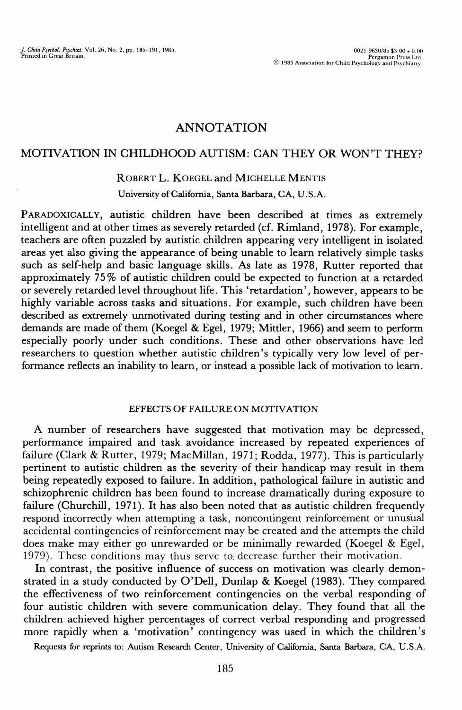/ *Child Psychol. Psychiat.* Vol. 26, No. 2, pp. 185-191, 1985. 0021-9630/85 \$3.00 + 0.00 Printed in Great Britain. Pergamon Press Ltd

# ANNOTATION

## MOTIVATION IN CHILDHOOD AUTISM: CAN THEY OR WON'T THEY?

#### ROBERT L. KOEGEL and MICHELLE MENTIS

University of California, Santa Barbara, CA, U.S.A.

PARADOXICALLY, autistic children have been described at times as extremely intelligent and at other times as severely retarded (cf. Rimland, 1978). For example, teachers are often puzzled by autistic children appearing very intelligent in isolated areas yet also giving the appearance of being unable to learn relatively simple tasks such as self-help and basic language skills. As late as 1978, Rutter reported that approximately 75 % of autistic children could be expected to function at a retarded or severely retarded level throughout life. This 'retardation', however, appears to be highly variable across tasks and situations. For example, such children have been described as extremely unmotivated during testing and in other circumstances where demands are made of them (Koegel & Egel, 1979; Mittler, 1966) and seem to perform especially poorly under such conditions. These and other observations have led researchers to question whether autistic children's typically very low level of performance reflects an inability to learn, or instead a possible lack of motivation to learn.

#### EFFECTS OF FAILURE ON MOTIVATION

A number of researchers have suggested that motivation may be depressed, performance impaired and task avoidance increased by repeated experiences of failure (Clark & Rutter, 1979; MacMillan, 1971; Rodda, 1977). This is particularly pertinent to autistic children as the severity of their handicap may result in them being repeatedly exposed to failure. In addition, pathological failure in autistic and schizophrenic children has been found to increase dramatically during exposure to failure (Churchill, 1971). It has also been noted that as autistic children frequently respond incorrectly when attempting a task, noncontingent reinforcement or unusual accidental contingencies of reinforcement may be created and the attempts the child does make may either go unrewarded or be minimally rewarded (Koegel & Egel, 1979). These conditions may thus serve to. decrease further their motivation.

In contrast, the positive influence of success on motivation was clearly demonstrated in a study conducted by O'Dell, Dunlap & Koegel (1983). They compared the effectiveness of two reinforcement contingencies on the verbal responding of four autistic children with severe communication delay. They found that all the children achieved higher percentages of correct verbal responding and progressed more rapidly when a 'motivation' contingency was used in which the children's

Requests for reprints to: Autism Research Center, University of California, Santa Barbara, CA, U.S.A.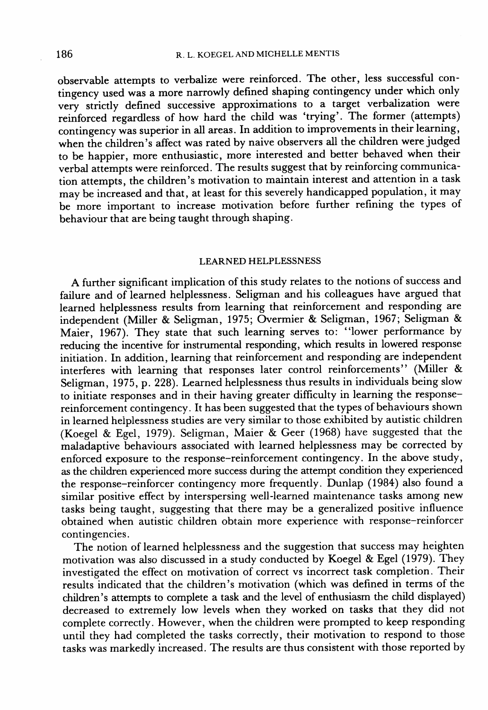observable attempts to verbalize were reinforced. The other, less successful contingency used was a more narrowly defined shaping contingency under which only very strictly defined successive approximations to a target verbalization were reinforced regardless of how hard the child was 'trying'. The former (attempts) contingency was superior in all areas. In addition to improvements in their learning, when the children's affect was rated by naive observers all the children were judged to be happier, more enthusiastic, more interested and better behaved when their verbal attempts were reinforced. The results suggest that by reinforcing communication attempts, the children's motivation to maintain interest and attention in a task may be increased and that, at least for this severely handicapped population, it may be more important to increase motivation before further refining the types of behaviour that are being taught through shaping.

#### LEARNED HELPLESSNESS

A further significant implication of this study relates to the notions of success and failure and of learned helplessness. Seligman and his colleagues have argued that learned helplessness results from learning that reinforcement and responding are independent (Miller & Seligman, 1975; Overmier & Seligman, 1967; Seligman & Maier, 1967). They state that such learning serves to: "lower performance by reducing the incentive for instrumental responding, which results in lowered response initiation. In addition, learning that reinforcement and responding are independent interferes with learning that responses later control reinforcements" (Miller & Seligman, 1975, p. 228). Learned helplessness thus results in individuals being slow to initiate responses and in their having greater difficulty in learning the responsereinforcement contingency. It has been suggested that the types of behaviours shown in learned helplessness studies are very similar to those exhibited by autistic children (Koegel & Egel, 1979). Seligman, Maier & Geer (1968) have suggested that the maladaptive behaviours associated with learned helplessness may be corrected by enforced exposure to the response-reinforcement contingency. In the above study, as the children experienced more success during the attempt condition they experienced the response-reinforcer contingency more frequently. Dunlap (1984) also found a similar positive effect by interspersing well-learned maintenance tasks among new tasks being taught, suggesting that there may be a generalized positive influence obtained when autistic children obtain more experience with response-reinforcer contingencies.

The notion of learned helplessness and the suggestion that success may heighten motivation was also discussed in a study conducted by Koegel & Egel (1979). They investigated the effect on motivation of correct vs incorrect task completion. Their results indicated that the children's motivation (which was defined in terms of the children's attempts to complete a task and the level of enthusiasm the child displayed) decreased to extremely low levels when they worked on tasks that they did not complete correctly. However, when the children were prompted to keep responding until they had completed the tasks correctly, their motivation to respond to those tasks was markedly increased. The results are thus consistent with those reported by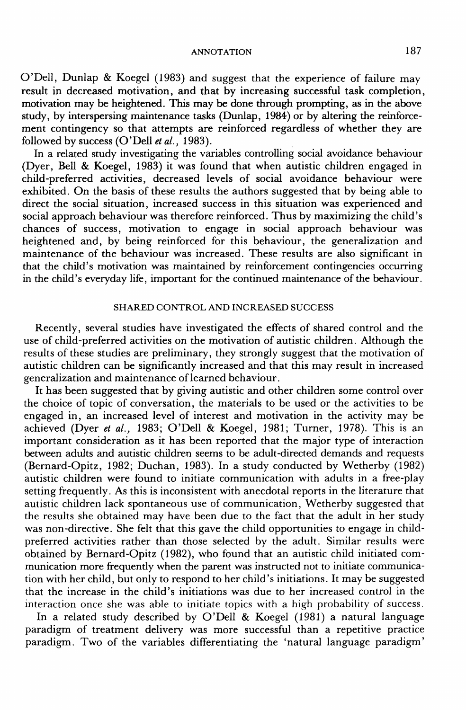### ANNOTATION 187

O'Dell, Dunlap & Koegel (1983) and suggest that the experience of failure may result in decreased motivation, and that by increasing successful task completion, motivation may be heightened. This may be done through prompting, as in the above study, by interspersing maintenance tasks (Dunlap, 1984) or by altering the reinforcement contingency so that attempts are reinforced regardless of whether they are followed by success (O'Dell *et al,* 1983).

In a related study investigating the variables controlling social avoidance behaviour (Dyer, Bell & Koegel, 1983) it was found that when autistic children engaged in child-preferred activities, decreased levels of social avoidance behaviour were exhibited. On the basis of these results the authors suggested that by being able to direct the sociad situation, increased success in this situation was experienced and social approach behaviour was therefore reinforced. Thus by maximizing the child's chances of success, motivation to engage in social approach behaviour was heightened and, by being reinforced for this behaviour, the generalization and maintenance of the behaviour was increased. These results are also significant in that the child's motivation was maintained by reinforcement contingencies occurring in the child's everyday life, important for the continued maintenance of the behaviour.

### SHARED CONTROL AND INCREASED SUCCESS

Recently, several studies have investigated the effects of shared control amd the use of child-preferred activities on the motivation of autistic children. Although the results of these studies are preliminary, they strongly suggest that the motivation of autistic children can be significantly increased and that this may result in increased generalization and maintenance of learned behaviour.

It has been suggested that by giving autistic and other children some control over the choice of topic of conversation, the materials to be used or the activities to be engaged in, an increased level of interest and motivation in the activity may be achieved (Dyer *et al,* 1983; O'Dell & Koegel, 1981; Turner, 1978). This is an important consideration as it has been reported that the major type of interaction between adults and autistic children seems to be adult-directed demands and requests (Bernard-Opitz, 1982; Duchan, 1983). In a study conducted by Wetherby (1982) autistic children were found to initiate communication with adults in a free-play setting frequently. As this is inconsistent with anecdotal reports in the literature that autistic children lack spontaneous use of communication, Wetherby suggested that the results she obtained may have been due to the fact that the adult in her study was non-directive. She felt that this gave the child opportunities to engage in childpreferred activities rather than those selected by the adult. Similar results were obtained by Bernard-Opitz (1982), who found that an autistic child initiated communication more frequently when the parent was instructed not to initiate communication with her child, but only to respond to her child's initiations. It may be suggested that the increase in the child's initiations was due to her increased control in the interaction once she was able to initiate topics with a high probability of success.

In a related study described by O'Dell & Koegel (1981) a natural language paradigm of treatment delivery was more successful than a repetitive practice paradigm. Two of the variables differentiating the 'natural language paradigm'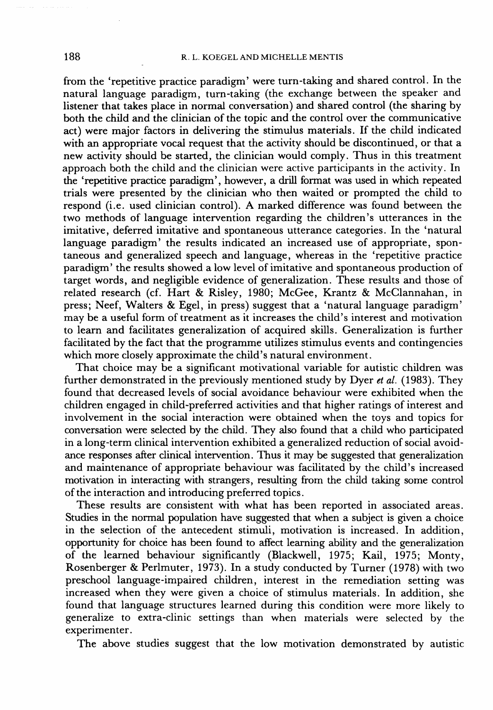from the 'repetitive practice paradigm' were turn-taking and shared control. In the natural language paradigm, turn-taking (the exchange between the speaker and listener that takes place in normal conversation) and shared control (the sharing by both the child and the clinician of the topic and the control over the communicative act) were major factors in delivering the stimulus materials. If the child indicated with an appropriate vocal request that the activity should be discontinued, or that a new activity should be started, the clinician would comply. Thus in this treatment approach both the child and the clinician were active participants in the activity. In the 'repetitive practice paradigm', however, a driU format was used in which repeated trials were presented by the clinician who then waited or prompted the child to respond (i.e. used clinician control). A marked difference was found between the two methods of language intervention regarding the children's utterances in the imitative, deferred imitative and spontaneous utterance categories. In the 'natural language paradigm' the results indicated an increased use of appropriate, spontaneous and generalized speech and language, whereas in the 'repetitive practice paradigm' the results showed a low level of imitative and spontaneous production of target words, *and* negligible evidence of generalization. These results and those of related research (cf. Hart & Risley, 1980; McGee, Krantz & McClannahan, in press; Neef, Walters & Egel, in press) suggest that a 'natural language paradigm' may be a useful form of treatment as it increases the child's interest and motivation to learn and facilitates generalization of acquired skills. Generalization is further facilitated by the fact that the programme utilizes stimulus events and contingencies which more closely approximate the child's natural environment.

That choice may be a significant motivational variable for autistic children was further demonstrated in the previously mentioned study by Dyer *et al* (1983). They found that decreased levels of social avoidance behaviour were exhibited when the children engaged in child-preferred activities and that higher ratings of interest and involvement in the social interaction were obtained when the toys and topics for conversation were selected by the child. They also found that a child who participated in a long-term clinical intervention exhibited a generalized reduction of social avoidance responses after clinical intervention. Thus it may be suggested that generalization and maintenance of appropriate behaviour was facilitated by the child's increased motivation in interacting with strangers, resulting from the child taking some control of the interaction and introducing preferred topics.

These results are consistent with what has been reported in associated areas. Studies in the normal population have suggested that when a subject is given a choice in the selection of the antecedent stimuli, motivation is increased. In addition, opportunity for choice has been found to affect learning ability and the generalization of the learned behaviour significantly (Blackwell, 1975; Kail, 1975; Monty, Rosenberger & Perlmuter, 1973). In a study conducted by Turner (1978) with two preschool language-impaired children, interest in the remediation setting was increased when they were given a choice of stimulus materials. In addition, she found that language structures learned during this condition were more likely to generalize to extra-clinic settings than when materials were selected by the experimenter.

The above studies suggest that the low motivation demonstrated by autistic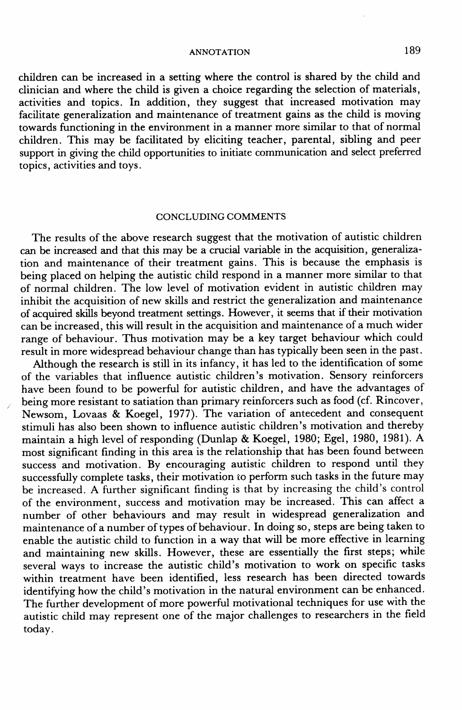## ANNOTATION 189

children can be increased in a setting where the control is shared by the child and clinician and where the child is given a choice regarding the selection of materials, activities and topics. In addition, they suggest that increased motivation may facilitate generalization and maintenance of treatment gains as the child is moving towards functioning in the environment in a manner more similar to that of normal children. This may be facilitated by eliciting teacher, parental, sibling and peer support in giving the child opportunities to initiate communication and select preferred topics, activities and toys.

#### CONCLUDING COMMENTS

The results of the above research suggest that the motivation of autistic children can be increased and that this may be a crucial variable in the acquisition, generalization and maintenance of their treatment gains. This is because the emphasis is being placed on helping the autistic child respond in a manner more similar to that of normal children. The low level of motivation evident in autistic children may inhibit the acquisition of new skills and restrict the generalization and maintenance of acquired skills beyond treatment settings. However, it seems that if their motivation can be increased, this will result in the acquisition and maintenance of a much wider range of behaviour. Thus motivation may be a key target behaviour which could result in more widespread behaviour change than has typically been seen in the past.

Although the research is still in its infancy, it has led to the identification of some of the variables that influence autistic children's motivation. Sensory reinforcers have been found to be powerful for autistic children, and have the advantages of being more resistant to satiation than primary reinforcers such as food (cf. Rincover, Newsom, Lovaas & Koegel, 1977). The variation of antecedent and consequent stimuli has also been shown to influence autistic children's motivation and thereby maintain a high level of responding (Dunlap & Koegel, 1980; Egel, 1980, 1981). A maintain a night rever of respecting (a matrix of  $\frac{1}{2}$  most significant finding in this area is the relationship that has been found between success and motivation. By encouraging autistic children to respond until they successfully complete tasks, their motivation to perform such tasks in the future may be increased. A further significant finding is that by increasing the child's control of the environment, success and motivation may be increased. This can affect a number of other behaviours and may result in widespread generalization and maintenance of a number of types of behaviour. In doing so, steps are being taken to enable the autistic child to function in a way that will be more effective in learning and maintaining new skills. However, these are essentially the first steps; while several ways to increase the autistic child's motivation to work on specific tasks within treatment have been identified, less research has been directed towards identifying how the child's motivation in the natural environment can be enhanced. The further development of more powerful motivational techniques for use with the autistic child may represent one of the major challenges to researchers in the field today.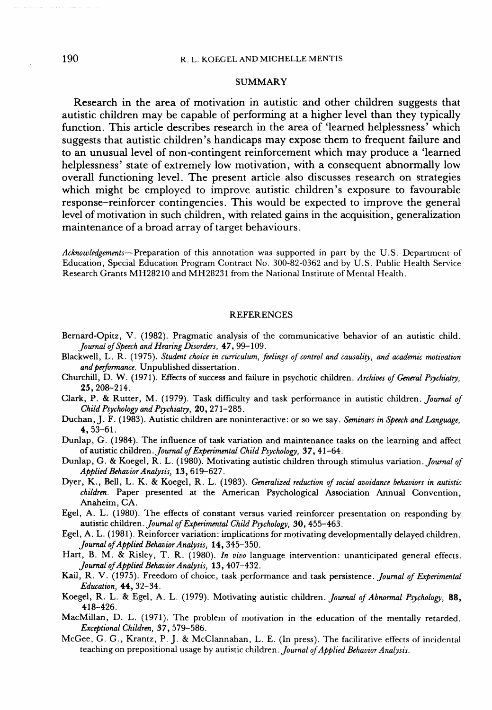#### 190 R.L. KOEGEL AND MICHELLE MENTIS

### **SUMMARY**

Research in the area of motivation in autistic and other children suggests that autistic children may be capable of performing at a higher level than they typically function. This article describes research in the area of 'learned helplessness' which suggests that autistic children's handicaps may expose them to frequent failure and to an unusual level of non-contingent reinforcement which may produce a 'learned helplessness' state of extremely low motivation, with a consequent abnormally low overall functioning level. The present article also discusses research on strategies which might be employed to improve autistic children's exposure to favourable response-reinforcer contingencies. This would be expected to improve the general level of motivation in such children, with related gains in the acquisition, generalization maintenance of a broad array of target behaviours.

*Acknowledgements*—Preparation of this annotation was supported in part by the U.S. Department of Education, Special Education Program Contract No. 300-82-0362 and by U.S. Public Health Service Research Grants MH28210 and MH28231 from the National Institute of Mental Health.

#### REFERENCES

- Bernard-Opitz, V. (1982). Pragmatic analysis of the communicative behavior of an autistic child. Journal of Speech and Hearing Disorders, 47, 99-109.
- Blackwell, L. R. (1975). *Student choice in curriculum, feelings of control and causality, and academic motivation and performance.* Unpublished dissertation.
- Churchill, D. W. (1971). Effects of success and failure in psychotic children. *Archives of General Psychiatry,* 25,208-214.
- Clark, P. & Rutter, M. (1979). Task difficulty and task performance in autistic children. *Journal of Child Psychology and Psychiatry,* 20, 271-285.
- Duchan, J. F. (1983). Autistic children are noninteractive: or so we say. *Seminars in Speech and Language,* 4,53-61.
- Dunlap, G. (1984). The influence of task variation and maintenance tasks on the learning and affect of autistic *children. Journal of Experimental Child Psychology,* 37, 41-64.
- Dunlap, G. & Koegel, R. L. (1980). Motivating autistic children through stimulus variation. *Journal of Applied Behavior Analysis,* 13, 619-627.
- Dyer, K., Bell, L. K. & Koegel, R. L. (1983). *Generalized reduction of social avoidance behaviors in autistic children.* Paper presented at the American Psychological Association Annual Convention, Anaheim, CA.
- Egel, A. L. (1980). The effects of constant versus varied reinforcer presentation on responding by autistic children. *Journal of Experimental Child Psychology*, 30, 455-463.
- Egel, A. L. (1981). Reinforcer variation: implications for motivating developmentally delayed children. *Journal of Applied Behavior Analysis,* 14, 345-350.
- Hart, B. M. & Risley, T. R. (1980). *In vivo* language intervention: unanticipated general effects. Journal of Applied Behavior Analysis, 13, 407-432.
- Kail, R. V. (1975). Freedom of choice, task performance and task persistence. *Journal of Experimental Education,* 44, 32-34.
- Koegel, R. L. & Egel, A. L. (1979). Motivating autistic children. *Journal of Abnormal Psychology,* 88, 418-426.
- MacMillan, D. L. (1971). The problem of motivation in the education of the mentally retarded. *Exceptional Children, 37,* 579-586.
- McGee, G. G., Krantz, P. J. & McClannahan, L. E. (In press). The facilitative effects of incidental teaching on prepositional usage by autistic children. *Journal of Applied Behavior Analysis.*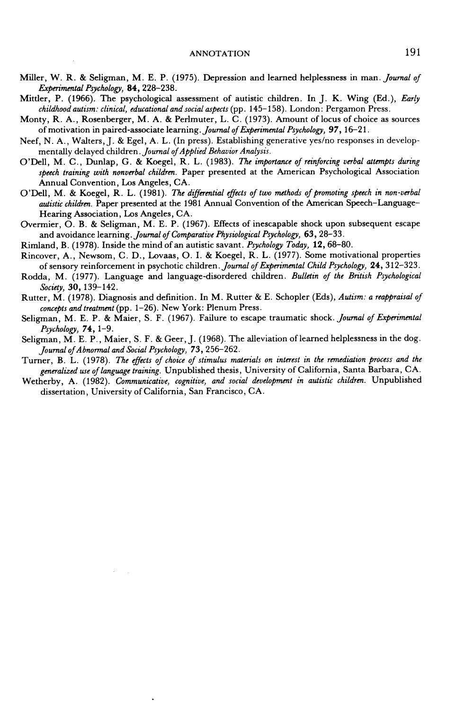- Miller, W. R. & Seligman, M. E. P. (1975). Depression and learned helplessness in man. *Joumat of Experimental Psychology,* 84,228-238.
- Mittler, P. (1966). The psychological assessment of autistic children. In J. K. Wing (Ed.), *Early childhood autism: clinical, educational and social aspects {pp.* 145-158). London: Pergamon Press.
- Monty, R. A., Rosenberger, M. A. & Perlmuter, L. C. (1973). Amount of locus of choice as sources of motivation in paired-associate learning. Journal of Experimental Psychology, 97, 16-21.
- Neef, N. A., Walters, J. & Egel, A. L. (In press). Establishing generative yes/no responses in developmentally delayed children. Journal of Applied Behavior Analysis.
- O'Dell, M. C , Dunlap, G. & Koegel, R. L. (1983). *The importance of reinforcing verbal attempts during speech training with nonverbal children.* Paper presented at the American Psychological Association Annual Convention, Los Angeles, CA.
- O'Dell, M. & Koegel, R. L. (1981). *The differential effects of two methods of promoting speech in non-verbal* autistic children. Paper presented at the 1981 Annual Convention of the American Speech-Language-Hearing Association, Los Angeles, CA.
- Overmier, O. B. & Seligman, M. E. P. (1967). Effects of inescapable shock upon subsequent escape and avoidance learning. *Journal of Comparative Physiological Psychology*, 63, 28-33.
- Rimland, B. (1978). Inside the mind of an autistic savant. *Psychology Today,* 12, 68-80.
- Rincover, A., Newsom, C. D., Lovaas, O. I. & Koegel, R. L. (1977). Some motivational properties of sensory reinforcement in psychotic *children. Journal of Experimentat Child Psychology,* 24, 312-323.
- Rodda, M. (1977). Language and language-disordered children. *Bulletin of the British Psychological Society,* 30, 139-142.
- Rutter, M. (1978). Diagnosis and definition. In M. Rutter & E. Schopler (Eds), *Autism: a reappraisal of concepts and treatment (pp.* 1-26). New York: Plenum Press.
- Seligman, M. E. P. & Maier, S. F. (1967). Failure to escape traumatic shock. *Journal of Experimental Psychology,* 74, 1-9.
- Seligman, M. E. P., Maier, S. F. & Geer, J. (1968). The alleviation of learned helplessness in the dog. *Journal of Abnormal and Social Psychology, 73,* 256-262.
- Turner, B. L. (1978). *The effects of choice of stimulus materials on interest in the remediation process and the* generalized use of language training. Unpublished thesis, University of California, Santa Barbara, CA.
- Wetherby, A. (1982). *Communicative, cognitive, and social development in autistic children.* Unpublished dissertation. University of California, San Francisco, CA.